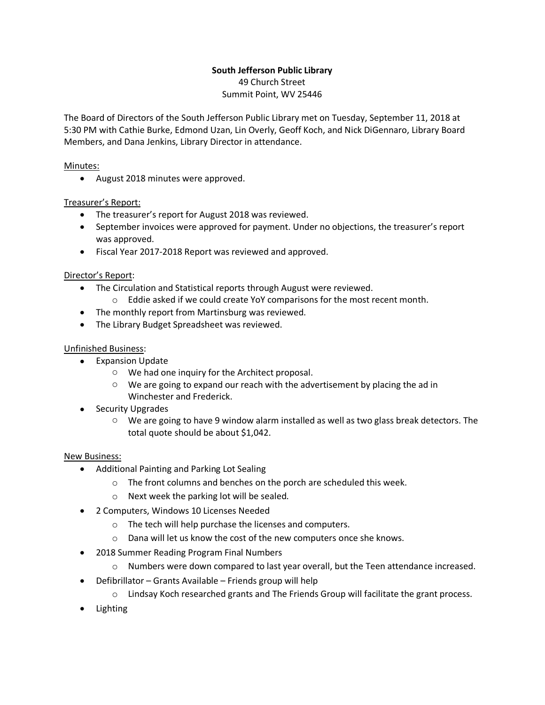### **South Jefferson Public Library** 49 Church Street Summit Point, WV 25446

The Board of Directors of the South Jefferson Public Library met on Tuesday, September 11, 2018 at 5:30 PM with Cathie Burke, Edmond Uzan, Lin Overly, Geoff Koch, and Nick DiGennaro, Library Board Members, and Dana Jenkins, Library Director in attendance.

## Minutes:

• August 2018 minutes were approved.

# Treasurer's Report:

- The treasurer's report for August 2018 was reviewed.
- September invoices were approved for payment. Under no objections, the treasurer's report was approved.
- Fiscal Year 2017-2018 Report was reviewed and approved.

# Director's Report:

- The Circulation and Statistical reports through August were reviewed.
	- o Eddie asked if we could create YoY comparisons for the most recent month.
- The monthly report from Martinsburg was reviewed.
- The Library Budget Spreadsheet was reviewed.

## Unfinished Business:

- Expansion Update
	- o We had one inquiry for the Architect proposal.
	- $\circ$  We are going to expand our reach with the advertisement by placing the ad in Winchester and Frederick.
- Security Upgrades
	- o We are going to have 9 window alarm installed as well as two glass break detectors. The total quote should be about \$1,042.

### New Business:

- Additional Painting and Parking Lot Sealing
	- o The front columns and benches on the porch are scheduled this week.
	- o Next week the parking lot will be sealed.
- 2 Computers, Windows 10 Licenses Needed
	- o The tech will help purchase the licenses and computers.
	- o Dana will let us know the cost of the new computers once she knows.
- 2018 Summer Reading Program Final Numbers
	- o Numbers were down compared to last year overall, but the Teen attendance increased.
- Defibrillator Grants Available Friends group will help
	- $\circ$  Lindsay Koch researched grants and The Friends Group will facilitate the grant process.
- Lighting